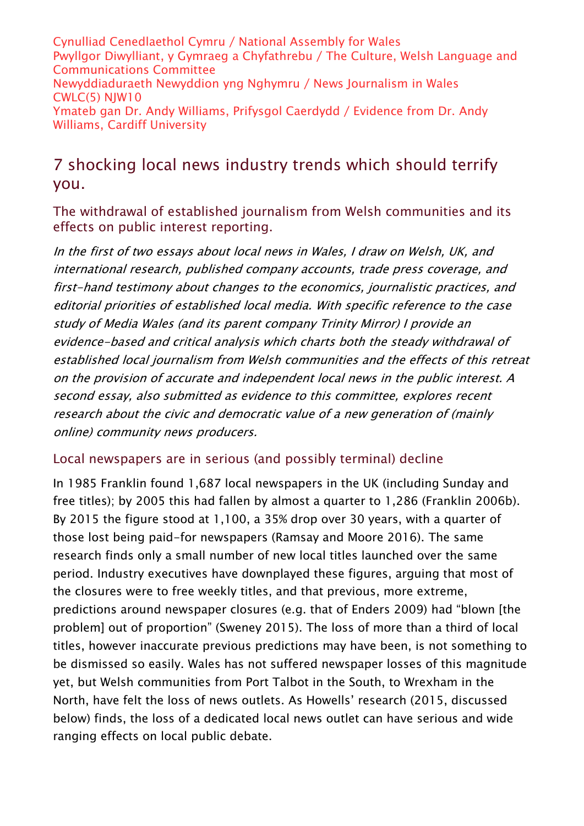Cynulliad Cenedlaethol Cymru / National Assembly for Wales Pwyllgor Diwylliant, y Gymraeg a Chyfathrebu / The Culture, Welsh Language and Communications Committee Newyddiaduraeth Newyddion yng Nghymru / News Journalism in Wales CWLC(5) NJW10 Ymateb gan Dr. Andy Williams, Prifysgol Caerdydd / Evidence from Dr. Andy Williams, Cardiff University

# 7 shocking local news industry trends which should terrify you.

The withdrawal of established journalism from Welsh communities and its effects on public interest reporting.

In the first of two essays about local news in Wales, I draw on Welsh, UK, and international research, published company accounts, trade press coverage, and first-hand testimony about changes to the economics, journalistic practices, and editorial priorities of established local media. With specific reference to the case study of Media Wales (and its parent company Trinity Mirror) I provide an evidence-based and critical analysis which charts both the steady withdrawal of established local journalism from Welsh communities and the effects of this retreat on the provision of accurate and independent local news in the public interest. A second essay, also submitted as evidence to this committee, explores recent research about the civic and democratic value of a new generation of (mainly online) community news producers.

#### Local newspapers are in serious (and possibly terminal) decline

In 1985 Franklin found 1,687 local newspapers in the UK (including Sunday and free titles); by 2005 this had fallen by almost a quarter to 1,286 (Franklin 2006b). By 2015 the figure stood at 1,100, a 35% drop over 30 years, with a quarter of those lost being paid-for newspapers (Ramsay and Moore 2016). The same research finds only a small number of new local titles launched over the same period. Industry executives have downplayed these figures, arguing that most of the closures were to free weekly titles, and that previous, more extreme, predictions around newspaper closures (e.g. that of Enders 2009) had "blown [the problem] out of proportion" (Sweney 2015). The loss of more than a third of local titles, however inaccurate previous predictions may have been, is not something to be dismissed so easily. Wales has not suffered newspaper losses of this magnitude yet, but Welsh communities from Port Talbot in the South, to Wrexham in the North, have felt the loss of news outlets. As Howells' research (2015, discussed below) finds, the loss of a dedicated local news outlet can have serious and wide ranging effects on local public debate.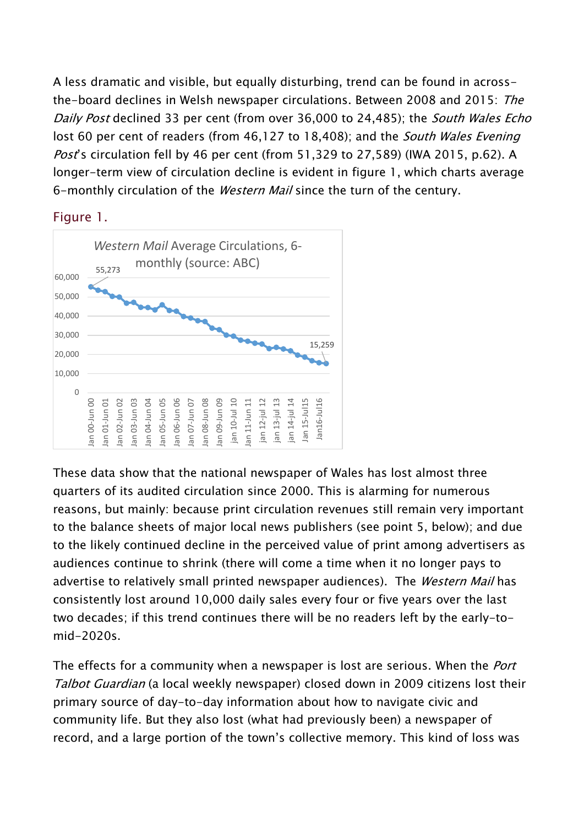A less dramatic and visible, but equally disturbing, trend can be found in acrossthe-board declines in Welsh newspaper circulations. Between 2008 and 2015: The Daily Post declined 33 per cent (from over 36,000 to 24,485); the South Wales Echo lost 60 per cent of readers (from 46,127 to 18,408); and the South Wales Evening Post's circulation fell by 46 per cent (from 51,329 to 27,589) (IWA 2015, p.62). A longer-term view of circulation decline is evident in figure 1, which charts average 6-monthly circulation of the Western Mail since the turn of the century.

Figure 1.



These data show that the national newspaper of Wales has lost almost three quarters of its audited circulation since 2000. This is alarming for numerous reasons, but mainly: because print circulation revenues still remain very important to the balance sheets of major local news publishers (see point 5, below); and due to the likely continued decline in the perceived value of print among advertisers as audiences continue to shrink (there will come a time when it no longer pays to advertise to relatively small printed newspaper audiences). The Western Mail has consistently lost around 10,000 daily sales every four or five years over the last two decades; if this trend continues there will be no readers left by the early-tomid-2020s.

The effects for a community when a newspaper is lost are serious. When the *Port* Talbot Guardian (a local weekly newspaper) closed down in 2009 citizens lost their primary source of day-to-day information about how to navigate civic and community life. But they also lost (what had previously been) a newspaper of record, and a large portion of the town's collective memory. This kind of loss was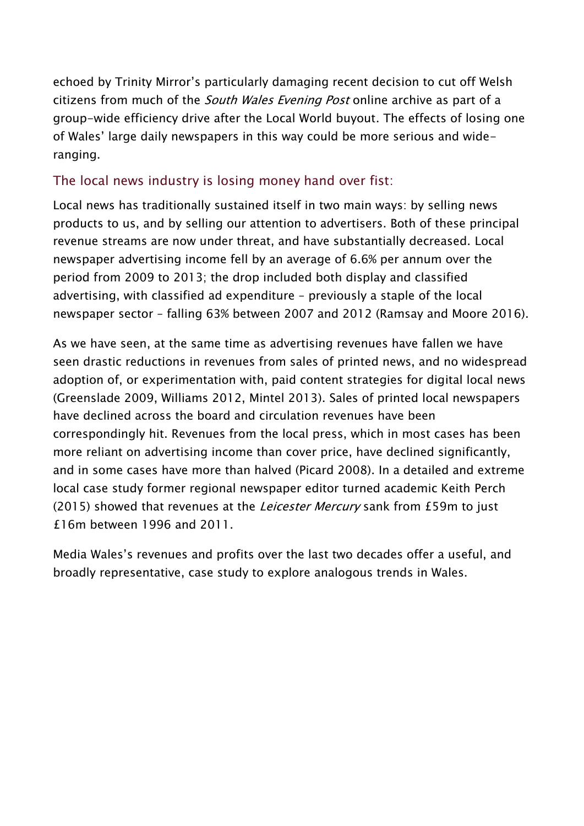echoed by Trinity Mirror's particularly damaging recent decision to cut off Welsh citizens from much of the *South Wales Evening Post* online archive as part of a group-wide efficiency drive after the Local World buyout. The effects of losing one of Wales' large daily newspapers in this way could be more serious and wideranging.

## The local news industry is losing money hand over fist:

Local news has traditionally sustained itself in two main ways: by selling news products to us, and by selling our attention to advertisers. Both of these principal revenue streams are now under threat, and have substantially decreased. Local newspaper advertising income fell by an average of 6.6% per annum over the period from 2009 to 2013; the drop included both display and classified advertising, with classified ad expenditure – previously a staple of the local newspaper sector – falling 63% between 2007 and 2012 (Ramsay and Moore 2016).

As we have seen, at the same time as advertising revenues have fallen we have seen drastic reductions in revenues from sales of printed news, and no widespread adoption of, or experimentation with, paid content strategies for digital local news (Greenslade 2009, Williams 2012, Mintel 2013). Sales of printed local newspapers have declined across the board and circulation revenues have been correspondingly hit. Revenues from the local press, which in most cases has been more reliant on advertising income than cover price, have declined significantly, and in some cases have more than halved (Picard 2008). In a detailed and extreme local case study former regional newspaper editor turned academic Keith Perch (2015) showed that revenues at the *Leicester Mercury* sank from £59m to just £16m between 1996 and 2011.

Media Wales's revenues and profits over the last two decades offer a useful, and broadly representative, case study to explore analogous trends in Wales.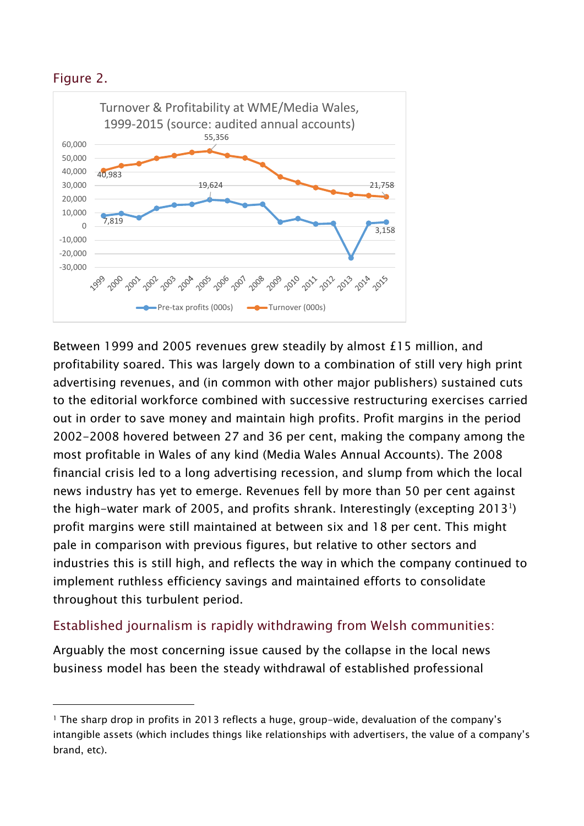### Figure 2.

-



Between 1999 and 2005 revenues grew steadily by almost £15 million, and profitability soared. This was largely down to a combination of still very high print advertising revenues, and (in common with other major publishers) sustained cuts to the editorial workforce combined with successive restructuring exercises carried out in order to save money and maintain high profits. Profit margins in the period 2002-2008 hovered between 27 and 36 per cent, making the company among the most profitable in Wales of any kind (Media Wales Annual Accounts). The 2008 financial crisis led to a long advertising recession, and slump from which the local news industry has yet to emerge. Revenues fell by more than 50 per cent against the high-water mark of 2005, and profits shrank. Interestingly (excepting 2013<sup>1</sup>) profit margins were still maintained at between six and 18 per cent. This might pale in comparison with previous figures, but relative to other sectors and industries this is still high, and reflects the way in which the company continued to implement ruthless efficiency savings and maintained efforts to consolidate throughout this turbulent period.

## Established journalism is rapidly withdrawing from Welsh communities:

Arguably the most concerning issue caused by the collapse in the local news business model has been the steady withdrawal of established professional

<sup>1</sup> The sharp drop in profits in 2013 reflects a huge, group-wide, devaluation of the company's intangible assets (which includes things like relationships with advertisers, the value of a company's brand, etc).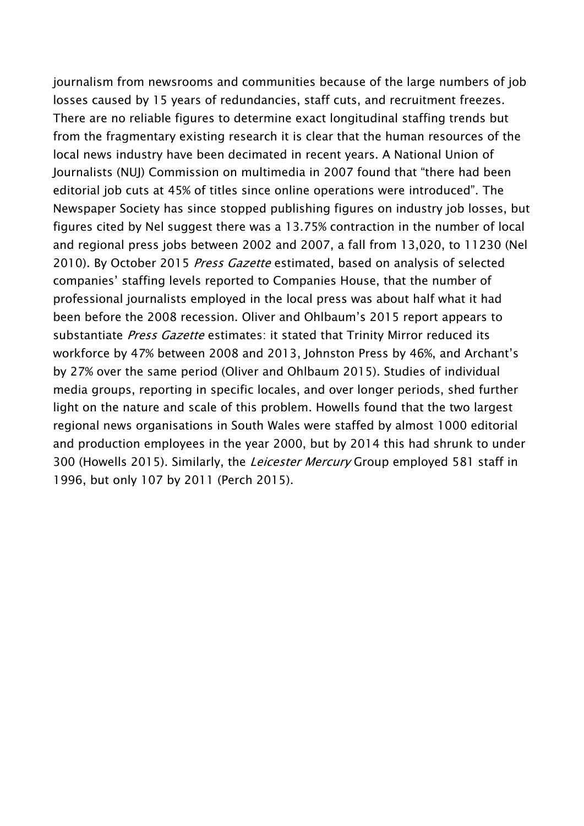journalism from newsrooms and communities because of the large numbers of job losses caused by 15 years of redundancies, staff cuts, and recruitment freezes. There are no reliable figures to determine exact longitudinal staffing trends but from the fragmentary existing research it is clear that the human resources of the local news industry have been decimated in recent years. A National Union of Journalists (NUJ) Commission on multimedia in 2007 found that "there had been editorial job cuts at 45% of titles since online operations were introduced". The Newspaper Society has since stopped publishing figures on industry job losses, but figures cited by Nel suggest there was a 13.75% contraction in the number of local and regional press jobs between 2002 and 2007, a fall from 13,020, to 11230 (Nel 2010). By October 2015 Press Gazette estimated, based on analysis of selected companies' staffing levels reported to Companies House, that the number of professional journalists employed in the local press was about half what it had been before the 2008 recession. Oliver and Ohlbaum's 2015 report appears to substantiate Press Gazette estimates: it stated that Trinity Mirror reduced its workforce by 47% between 2008 and 2013, Johnston Press by 46%, and Archant's by 27% over the same period (Oliver and Ohlbaum 2015). Studies of individual media groups, reporting in specific locales, and over longer periods, shed further light on the nature and scale of this problem. Howells found that the two largest regional news organisations in South Wales were staffed by almost 1000 editorial and production employees in the year 2000, but by 2014 this had shrunk to under 300 (Howells 2015). Similarly, the *Leicester Mercury* Group employed 581 staff in 1996, but only 107 by 2011 (Perch 2015).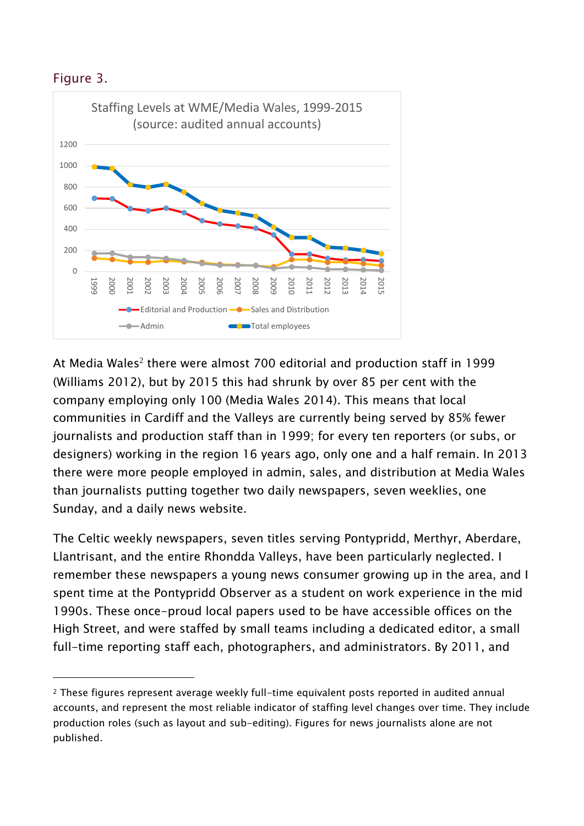#### Figure 3.

-



At Media Wales<sup>2</sup> there were almost 700 editorial and production staff in 1999 (Williams 2012), but by 2015 this had shrunk by over 85 per cent with the company employing only 100 (Media Wales 2014). This means that local communities in Cardiff and the Valleys are currently being served by 85% fewer journalists and production staff than in 1999; for every ten reporters (or subs, or designers) working in the region 16 years ago, only one and a half remain. In 2013 there were more people employed in admin, sales, and distribution at Media Wales than journalists putting together two daily newspapers, seven weeklies, one Sunday, and a daily news website.

The Celtic weekly newspapers, seven titles serving Pontypridd, Merthyr, Aberdare, Llantrisant, and the entire Rhondda Valleys, have been particularly neglected. I remember these newspapers a young news consumer growing up in the area, and I spent time at the Pontypridd Observer as a student on work experience in the mid 1990s. These once-proud local papers used to be have accessible offices on the High Street, and were staffed by small teams including a dedicated editor, a small full-time reporting staff each, photographers, and administrators. By 2011, and

<sup>2</sup> These figures represent average weekly full-time equivalent posts reported in audited annual accounts, and represent the most reliable indicator of staffing level changes over time. They include production roles (such as layout and sub-editing). Figures for news journalists alone are not published.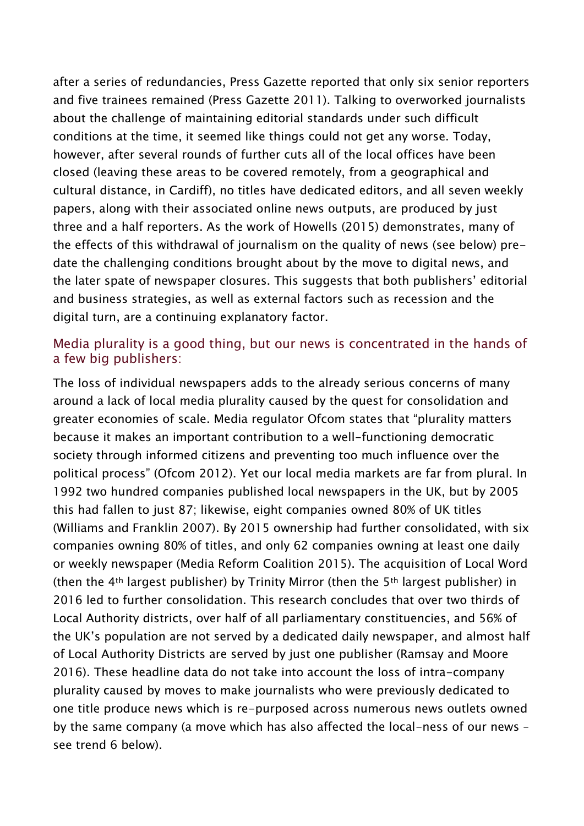after a series of redundancies, Press Gazette reported that only six senior reporters and five trainees remained (Press Gazette 2011). Talking to overworked journalists about the challenge of maintaining editorial standards under such difficult conditions at the time, it seemed like things could not get any worse. Today, however, after several rounds of further cuts all of the local offices have been closed (leaving these areas to be covered remotely, from a geographical and cultural distance, in Cardiff), no titles have dedicated editors, and all seven weekly papers, along with their associated online news outputs, are produced by just three and a half reporters. As the work of Howells (2015) demonstrates, many of the effects of this withdrawal of journalism on the quality of news (see below) predate the challenging conditions brought about by the move to digital news, and the later spate of newspaper closures. This suggests that both publishers' editorial and business strategies, as well as external factors such as recession and the digital turn, are a continuing explanatory factor.

### Media plurality is a good thing, but our news is concentrated in the hands of a few big publishers:

The loss of individual newspapers adds to the already serious concerns of many around a lack of local media plurality caused by the quest for consolidation and greater economies of scale. Media regulator Ofcom states that "plurality matters because it makes an important contribution to a well-functioning democratic society through informed citizens and preventing too much influence over the political process" (Ofcom 2012). Yet our local media markets are far from plural. In 1992 two hundred companies published local newspapers in the UK, but by 2005 this had fallen to just 87; likewise, eight companies owned 80% of UK titles (Williams and Franklin 2007). By 2015 ownership had further consolidated, with six companies owning 80% of titles, and only 62 companies owning at least one daily or weekly newspaper (Media Reform Coalition 2015). The acquisition of Local Word (then the 4th largest publisher) by Trinity Mirror (then the 5th largest publisher) in 2016 led to further consolidation. This research concludes that over two thirds of Local Authority districts, over half of all parliamentary constituencies, and 56% of the UK's population are not served by a dedicated daily newspaper, and almost half of Local Authority Districts are served by just one publisher (Ramsay and Moore 2016). These headline data do not take into account the loss of intra-company plurality caused by moves to make journalists who were previously dedicated to one title produce news which is re-purposed across numerous news outlets owned by the same company (a move which has also affected the local-ness of our news – see trend 6 below).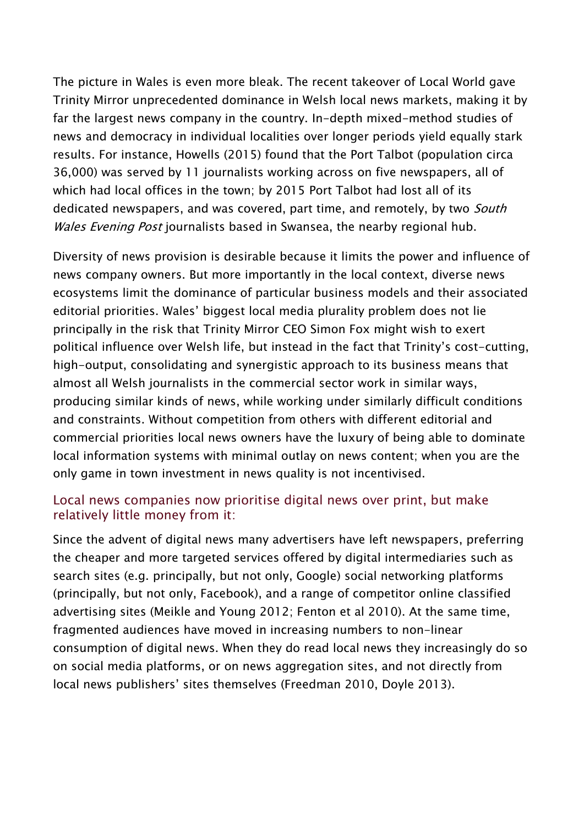The picture in Wales is even more bleak. The recent takeover of Local World gave Trinity Mirror unprecedented dominance in Welsh local news markets, making it by far the largest news company in the country. In-depth mixed-method studies of news and democracy in individual localities over longer periods yield equally stark results. For instance, Howells (2015) found that the Port Talbot (population circa 36,000) was served by 11 journalists working across on five newspapers, all of which had local offices in the town; by 2015 Port Talbot had lost all of its dedicated newspapers, and was covered, part time, and remotely, by two *South* Wales Evening Post journalists based in Swansea, the nearby regional hub.

Diversity of news provision is desirable because it limits the power and influence of news company owners. But more importantly in the local context, diverse news ecosystems limit the dominance of particular business models and their associated editorial priorities. Wales' biggest local media plurality problem does not lie principally in the risk that Trinity Mirror CEO Simon Fox might wish to exert political influence over Welsh life, but instead in the fact that Trinity's cost-cutting, high-output, consolidating and synergistic approach to its business means that almost all Welsh journalists in the commercial sector work in similar ways, producing similar kinds of news, while working under similarly difficult conditions and constraints. Without competition from others with different editorial and commercial priorities local news owners have the luxury of being able to dominate local information systems with minimal outlay on news content; when you are the only game in town investment in news quality is not incentivised.

#### Local news companies now prioritise digital news over print, but make relatively little money from it:

Since the advent of digital news many advertisers have left newspapers, preferring the cheaper and more targeted services offered by digital intermediaries such as search sites (e.g. principally, but not only, Google) social networking platforms (principally, but not only, Facebook), and a range of competitor online classified advertising sites (Meikle and Young 2012; Fenton et al 2010). At the same time, fragmented audiences have moved in increasing numbers to non-linear consumption of digital news. When they do read local news they increasingly do so on social media platforms, or on news aggregation sites, and not directly from local news publishers' sites themselves (Freedman 2010, Doyle 2013).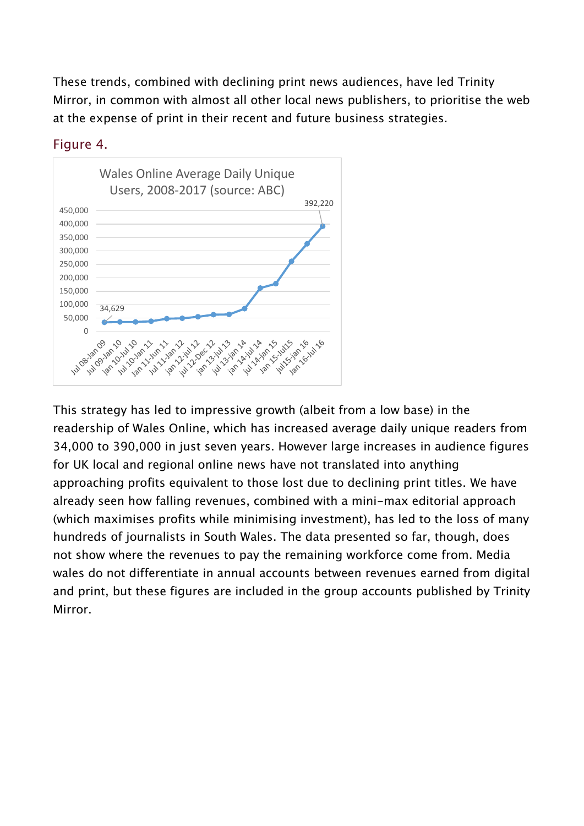These trends, combined with declining print news audiences, have led Trinity Mirror, in common with almost all other local news publishers, to prioritise the web at the expense of print in their recent and future business strategies.



#### Figure 4.

This strategy has led to impressive growth (albeit from a low base) in the readership of Wales Online, which has increased average daily unique readers from 34,000 to 390,000 in just seven years. However large increases in audience figures for UK local and regional online news have not translated into anything approaching profits equivalent to those lost due to declining print titles. We have already seen how falling revenues, combined with a mini-max editorial approach (which maximises profits while minimising investment), has led to the loss of many hundreds of journalists in South Wales. The data presented so far, though, does not show where the revenues to pay the remaining workforce come from. Media wales do not differentiate in annual accounts between revenues earned from digital and print, but these figures are included in the group accounts published by Trinity Mirror.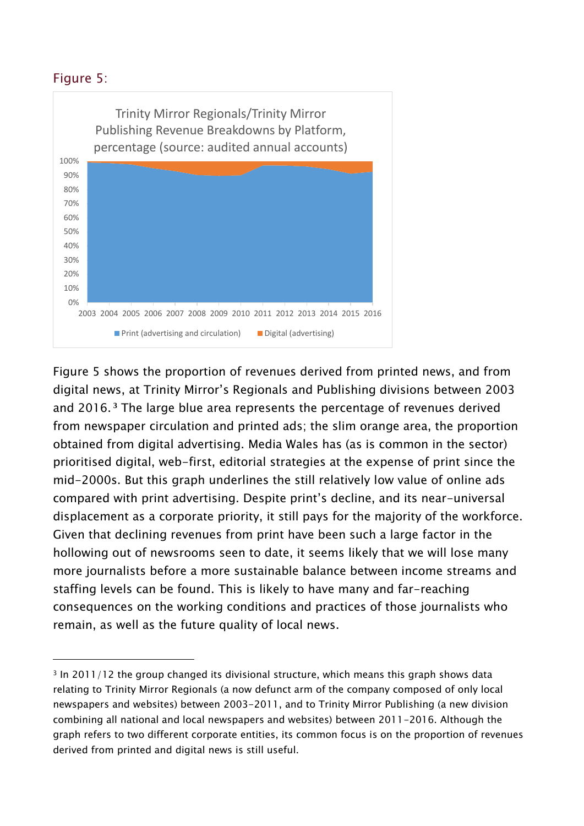### Figure 5:

-



Figure 5 shows the proportion of revenues derived from printed news, and from digital news, at Trinity Mirror's Regionals and Publishing divisions between 2003 and 2016. **<sup>3</sup>** The large blue area represents the percentage of revenues derived from newspaper circulation and printed ads; the slim orange area, the proportion obtained from digital advertising. Media Wales has (as is common in the sector) prioritised digital, web-first, editorial strategies at the expense of print since the mid-2000s. But this graph underlines the still relatively low value of online ads compared with print advertising. Despite print's decline, and its near-universal displacement as a corporate priority, it still pays for the majority of the workforce. Given that declining revenues from print have been such a large factor in the hollowing out of newsrooms seen to date, it seems likely that we will lose many more journalists before a more sustainable balance between income streams and staffing levels can be found. This is likely to have many and far-reaching consequences on the working conditions and practices of those journalists who remain, as well as the future quality of local news.

<sup>3</sup> In 2011/12 the group changed its divisional structure, which means this graph shows data relating to Trinity Mirror Regionals (a now defunct arm of the company composed of only local newspapers and websites) between 2003-2011, and to Trinity Mirror Publishing (a new division combining all national and local newspapers and websites) between 2011-2016. Although the graph refers to two different corporate entities, its common focus is on the proportion of revenues derived from printed and digital news is still useful.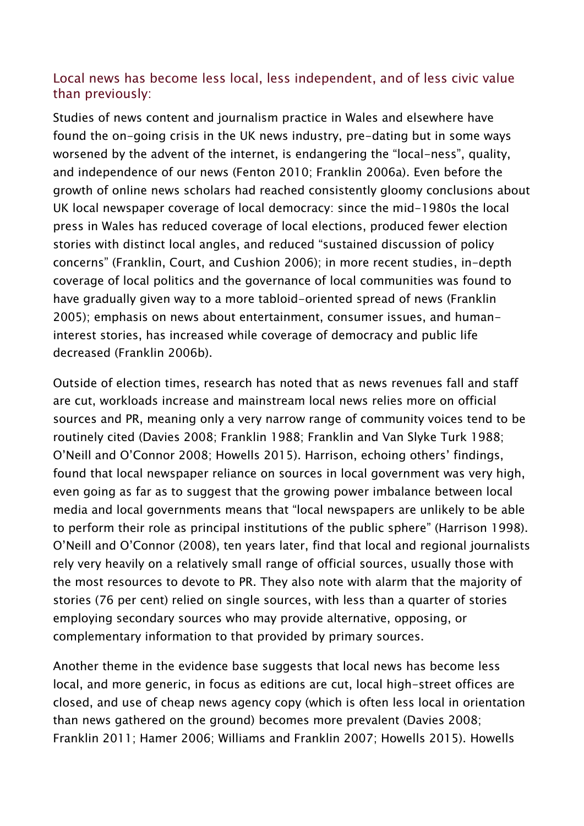### Local news has become less local, less independent, and of less civic value than previously:

Studies of news content and journalism practice in Wales and elsewhere have found the on-going crisis in the UK news industry, pre-dating but in some ways worsened by the advent of the internet, is endangering the "local-ness", quality, and independence of our news (Fenton 2010; Franklin 2006a). Even before the growth of online news scholars had reached consistently gloomy conclusions about UK local newspaper coverage of local democracy: since the mid-1980s the local press in Wales has reduced coverage of local elections, produced fewer election stories with distinct local angles, and reduced "sustained discussion of policy concerns" (Franklin, Court, and Cushion 2006); in more recent studies, in-depth coverage of local politics and the governance of local communities was found to have gradually given way to a more tabloid-oriented spread of news (Franklin 2005); emphasis on news about entertainment, consumer issues, and humaninterest stories, has increased while coverage of democracy and public life decreased (Franklin 2006b).

Outside of election times, research has noted that as news revenues fall and staff are cut, workloads increase and mainstream local news relies more on official sources and PR, meaning only a very narrow range of community voices tend to be routinely cited (Davies 2008; Franklin 1988; Franklin and Van Slyke Turk 1988; O'Neill and O'Connor 2008; Howells 2015). Harrison, echoing others' findings, found that local newspaper reliance on sources in local government was very high, even going as far as to suggest that the growing power imbalance between local media and local governments means that "local newspapers are unlikely to be able to perform their role as principal institutions of the public sphere" (Harrison 1998). O'Neill and O'Connor (2008), ten years later, find that local and regional journalists rely very heavily on a relatively small range of official sources, usually those with the most resources to devote to PR. They also note with alarm that the majority of stories (76 per cent) relied on single sources, with less than a quarter of stories employing secondary sources who may provide alternative, opposing, or complementary information to that provided by primary sources.

Another theme in the evidence base suggests that local news has become less local, and more generic, in focus as editions are cut, local high-street offices are closed, and use of cheap news agency copy (which is often less local in orientation than news gathered on the ground) becomes more prevalent (Davies 2008; Franklin 2011; Hamer 2006; Williams and Franklin 2007; Howells 2015). Howells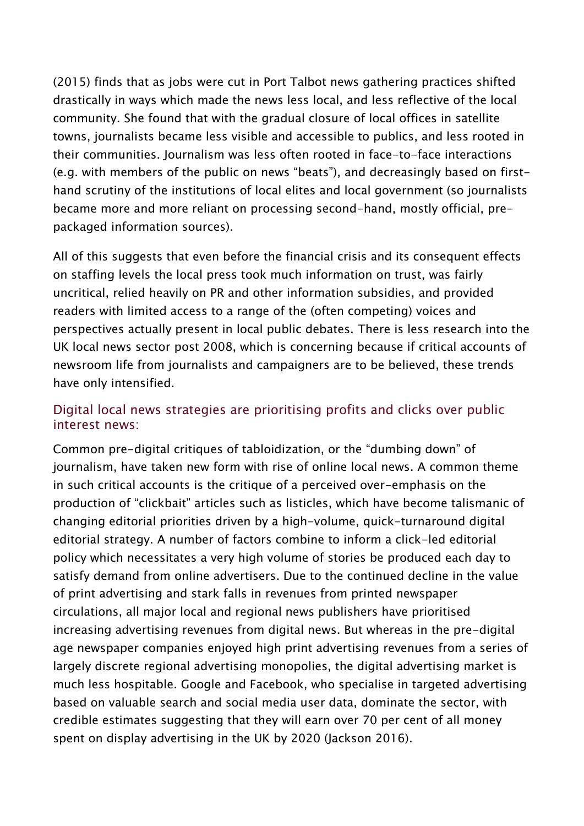(2015) finds that as jobs were cut in Port Talbot news gathering practices shifted drastically in ways which made the news less local, and less reflective of the local community. She found that with the gradual closure of local offices in satellite towns, journalists became less visible and accessible to publics, and less rooted in their communities. Journalism was less often rooted in face-to-face interactions (e.g. with members of the public on news "beats"), and decreasingly based on firsthand scrutiny of the institutions of local elites and local government (so journalists became more and more reliant on processing second-hand, mostly official, prepackaged information sources).

All of this suggests that even before the financial crisis and its consequent effects on staffing levels the local press took much information on trust, was fairly uncritical, relied heavily on PR and other information subsidies, and provided readers with limited access to a range of the (often competing) voices and perspectives actually present in local public debates. There is less research into the UK local news sector post 2008, which is concerning because if critical accounts of newsroom life from journalists and campaigners are to be believed, these trends have only intensified.

#### Digital local news strategies are prioritising profits and clicks over public interest news:

Common pre-digital critiques of tabloidization, or the "dumbing down" of journalism, have taken new form with rise of online local news. A common theme in such critical accounts is the critique of a perceived over-emphasis on the production of "clickbait" articles such as listicles, which have become talismanic of changing editorial priorities driven by a high-volume, quick-turnaround digital editorial strategy. A number of factors combine to inform a click-led editorial policy which necessitates a very high volume of stories be produced each day to satisfy demand from online advertisers. Due to the continued decline in the value of print advertising and stark falls in revenues from printed newspaper circulations, all major local and regional news publishers have prioritised increasing advertising revenues from digital news. But whereas in the pre-digital age newspaper companies enjoyed high print advertising revenues from a series of largely discrete regional advertising monopolies, the digital advertising market is much less hospitable. Google and Facebook, who specialise in targeted advertising based on valuable search and social media user data, dominate the sector, with credible estimates suggesting that they will earn over 70 per cent of all money spent on display advertising in the UK by 2020 (Jackson 2016).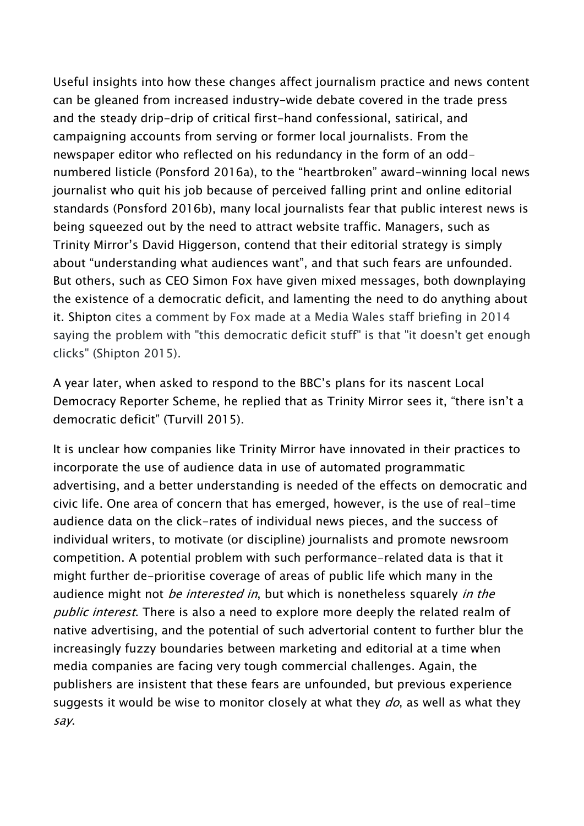Useful insights into how these changes affect journalism practice and news content can be gleaned from increased industry-wide debate covered in the trade press and the steady drip-drip of critical first-hand confessional, satirical, and campaigning accounts from serving or former local journalists. From the newspaper editor who reflected on his redundancy in the form of an oddnumbered listicle (Ponsford 2016a), to the "heartbroken" award-winning local news journalist who quit his job because of perceived falling print and online editorial standards (Ponsford 2016b), many local journalists fear that public interest news is being squeezed out by the need to attract website traffic. Managers, such as Trinity Mirror's David Higgerson, contend that their editorial strategy is simply about "understanding what audiences want", and that such fears are unfounded. But others, such as CEO Simon Fox have given mixed messages, both downplaying the existence of a democratic deficit, and lamenting the need to do anything about it. Shipton cites a comment by Fox made at a Media Wales staff briefing in 2014 saying the problem with "this democratic deficit stuff" is that "it doesn't get enough clicks" (Shipton 2015).

A year later, when asked to respond to the BBC's plans for its nascent Local Democracy Reporter Scheme, he replied that as Trinity Mirror sees it, "there isn't a democratic deficit" (Turvill 2015).

It is unclear how companies like Trinity Mirror have innovated in their practices to incorporate the use of audience data in use of automated programmatic advertising, and a better understanding is needed of the effects on democratic and civic life. One area of concern that has emerged, however, is the use of real-time audience data on the click-rates of individual news pieces, and the success of individual writers, to motivate (or discipline) journalists and promote newsroom competition. A potential problem with such performance-related data is that it might further de-prioritise coverage of areas of public life which many in the audience might not be interested in, but which is nonetheless squarely in the public interest. There is also a need to explore more deeply the related realm of native advertising, and the potential of such advertorial content to further blur the increasingly fuzzy boundaries between marketing and editorial at a time when media companies are facing very tough commercial challenges. Again, the publishers are insistent that these fears are unfounded, but previous experience suggests it would be wise to monitor closely at what they  $do$ , as well as what they say.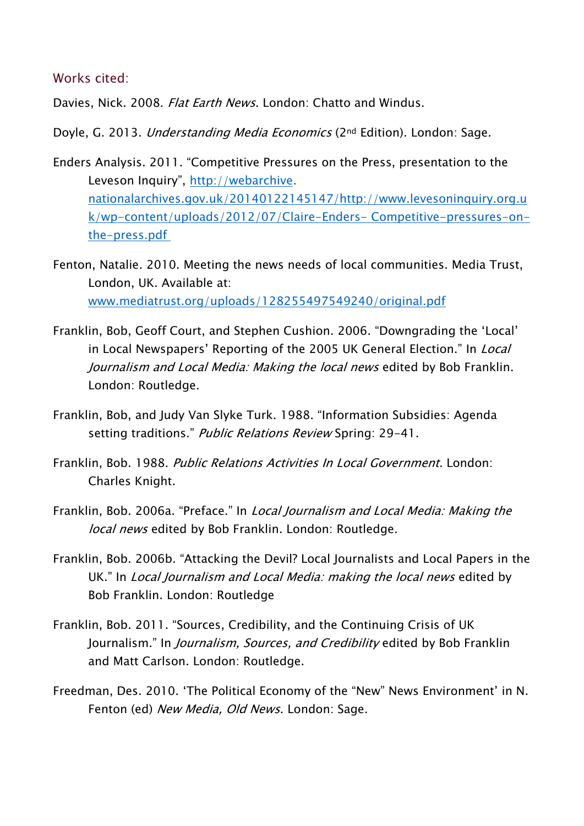#### Works cited:

Davies, Nick. 2008. *Flat Earth News*. London: Chatto and Windus.

Doyle, G. 2013. Understanding Media Economics (2nd Edition). London: Sage.

- Enders Analysis. 2011. "Competitive Pressures on the Press, presentation to the Leveson Inquiry", [http://webarchive.](http://webarchive/) [nationalarchives.gov.uk/20140122145147/http://www.levesoninquiry.org.u](nationalarchives.gov.uk/20140122145147/http:/www.levesoninquiry.org.uk/wp-content/uploads/2012/07/Claire-Enders-%20Competitive-pressures-on-the-press.pdf) [k/wp-content/uploads/2012/07/Claire-Enders-](nationalarchives.gov.uk/20140122145147/http:/www.levesoninquiry.org.uk/wp-content/uploads/2012/07/Claire-Enders-%20Competitive-pressures-on-the-press.pdf) Competitive-pressures-on[the-press.pdf](nationalarchives.gov.uk/20140122145147/http:/www.levesoninquiry.org.uk/wp-content/uploads/2012/07/Claire-Enders-%20Competitive-pressures-on-the-press.pdf)
- Fenton, Natalie. 2010. Meeting the news needs of local communities. Media Trust, London, UK. Available at: [www.mediatrust.org/uploads/128255497549240/original.pdf](http://www.mediatrust.org/uploads/128255497549240/original.pdf)
- Franklin, Bob, Geoff Court, and Stephen Cushion. 2006. "Downgrading the 'Local' in Local Newspapers' Reporting of the 2005 UK General Election." In Local Journalism and Local Media: Making the local news edited by Bob Franklin. London: Routledge.
- Franklin, Bob, and Judy Van Slyke Turk. 1988. "Information Subsidies: Agenda setting traditions." Public Relations Review Spring: 29-41.
- Franklin, Bob. 1988. Public Relations Activities In Local Government. London: Charles Knight.
- Franklin, Bob. 2006a. "Preface." In Local Journalism and Local Media: Making the local news edited by Bob Franklin. London: Routledge.
- Franklin, Bob. 2006b. "Attacking the Devil? Local Journalists and Local Papers in the UK." In Local Journalism and Local Media: making the local news edited by Bob Franklin. London: Routledge
- Franklin, Bob. 2011. "Sources, Credibility, and the Continuing Crisis of UK Journalism." In Journalism, Sources, and Credibility edited by Bob Franklin and Matt Carlson. London: Routledge.
- Freedman, Des. 2010. 'The Political Economy of the "New" News Environment' in N. Fenton (ed) New Media, Old News. London: Sage.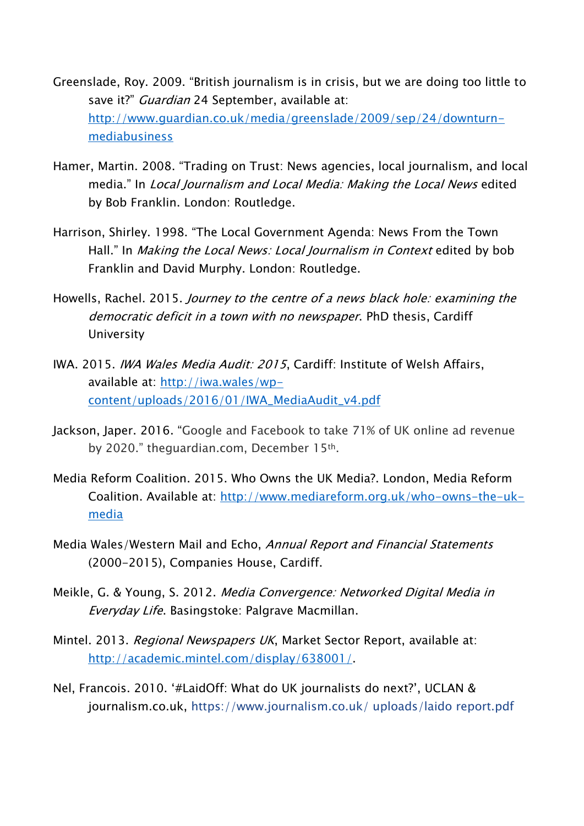- Greenslade, Roy. 2009. "British journalism is in crisis, but we are doing too little to save it?" Guardian 24 September, available at: [http://www.guardian.co.uk/media/greenslade/2009/sep/24/downturn](http://www.guardian.co.uk/media/greenslade/2009/sep/24/downturn-%09mediabusiness)[mediabusiness](http://www.guardian.co.uk/media/greenslade/2009/sep/24/downturn-%09mediabusiness)
- Hamer, Martin. 2008. "Trading on Trust: News agencies, local journalism, and local media." In Local Journalism and Local Media: Making the Local News edited by Bob Franklin. London: Routledge.
- Harrison, Shirley. 1998. "The Local Government Agenda: News From the Town Hall." In *Making the Local News: Local Journalism in Context* edited by bob Franklin and David Murphy. London: Routledge.
- Howells, Rachel. 2015. Journey to the centre of a news black hole: examining the democratic deficit in a town with no newspaper. PhD thesis, Cardiff University
- IWA. 2015. IWA Wales Media Audit: 2015, Cardiff: Institute of Welsh Affairs, available at: [http://iwa.wales/wp](http://iwa.wales/wp-%09content/uploads/2016/01/IWA_MediaAudit_v4.pdf)[content/uploads/2016/01/IWA\\_MediaAudit\\_v4.pdf](http://iwa.wales/wp-%09content/uploads/2016/01/IWA_MediaAudit_v4.pdf)
- Jackson, Japer. 2016. "Google and Facebook to take 71% of UK online ad revenue by 2020." theguardian.com, December 15th.
- Media Reform Coalition. 2015. Who Owns the UK Media?. London, Media Reform Coalition. Available at: [http://www.mediareform.org.uk/who-owns-the-uk](http://www.mediareform.org.uk/who-owns-the-uk-%09media)[media](http://www.mediareform.org.uk/who-owns-the-uk-%09media)
- Media Wales/Western Mail and Echo, Annual Report and Financial Statements (2000-2015), Companies House, Cardiff.
- Meikle, G. & Young, S. 2012. Media Convergence: Networked Digital Media in Everyday Life. Basingstoke: Palgrave Macmillan.
- Mintel. 2013. Regional Newspapers UK, Market Sector Report, available at: [http://academic.mintel.com/display/638001/.](http://academic.mintel.com/display/638001/)
- Nel, Francois. 2010. '#LaidOff: What do UK journalists do next?', UCLAN & journalism.co.uk, https://www.journalism.co.uk/ uploads/laido report.pdf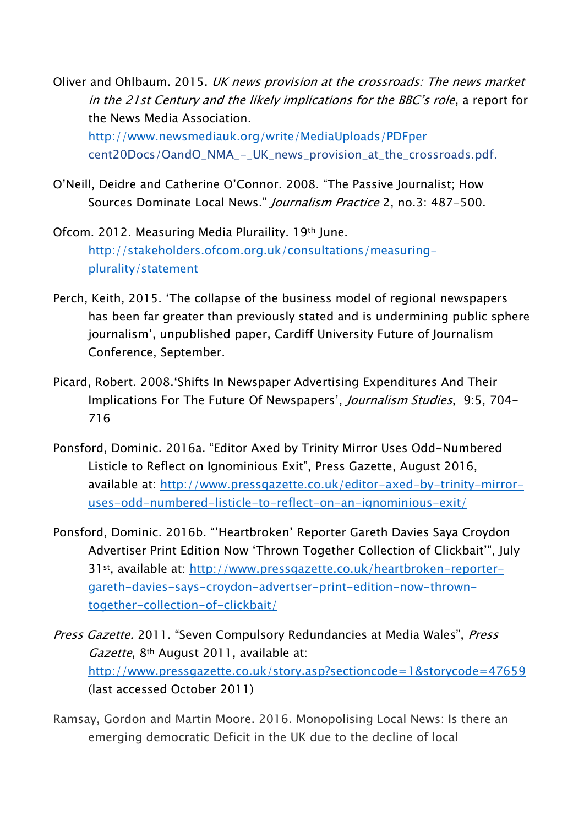Oliver and Ohlbaum. 2015. UK news provision at the crossroads: The news market in the 21st Century and the likely implications for the BBC's role, a report for the News Media Association. <http://www.newsmediauk.org/write/MediaUploads/PDFper> cent20Docs/OandO\_NMA\_-\_UK\_news\_provision\_at\_the\_crossroads.pdf.

- O'Neill, Deidre and Catherine O'Connor. 2008. "The Passive Journalist; How Sources Dominate Local News." *Journalism Practice* 2, no.3: 487-500.
- Ofcom. 2012. Measuring Media Pluraility. 19th June. [http://stakeholders.ofcom.org.uk/consultations/measuring](http://stakeholders.ofcom.org.uk/consultations/measuring-%09plurality/statement)[plurality/statement](http://stakeholders.ofcom.org.uk/consultations/measuring-%09plurality/statement)
- Perch, Keith, 2015. 'The collapse of the business model of regional newspapers has been far greater than previously stated and is undermining public sphere journalism', unpublished paper, Cardiff University Future of Journalism Conference, September.
- Picard, Robert. 2008.'Shifts In Newspaper Advertising Expenditures And Their Implications For The Future Of Newspapers', Journalism Studies, 9:5, 704- 716
- Ponsford, Dominic. 2016a. "Editor Axed by Trinity Mirror Uses Odd-Numbered Listicle to Reflect on Ignominious Exit", Press Gazette, August 2016, available at: [http://www.pressgazette.co.uk/editor-axed-by-trinity-mirror](http://www.pressgazette.co.uk/editor-axed-by-trinity-mirror-%09uses-odd-numbered-listicle-to-reflect-on-an-ignominious-exit/)[uses-odd-numbered-listicle-to-reflect-on-an-ignominious-exit/](http://www.pressgazette.co.uk/editor-axed-by-trinity-mirror-%09uses-odd-numbered-listicle-to-reflect-on-an-ignominious-exit/)
- Ponsford, Dominic. 2016b. "'Heartbroken' Reporter Gareth Davies Saya Croydon Advertiser Print Edition Now 'Thrown Together Collection of Clickbait'", July 31st, available at: [http://www.pressgazette.co.uk/heartbroken-reporter](http://www.pressgazette.co.uk/heartbroken-reporter-%09gareth-davies-says-croydon-advertser-print-edition-now-thrown-%09together-collection-of-clickbait/)[gareth-davies-says-croydon-advertser-print-edition-now-thrown](http://www.pressgazette.co.uk/heartbroken-reporter-%09gareth-davies-says-croydon-advertser-print-edition-now-thrown-%09together-collection-of-clickbait/)[together-collection-of-clickbait/](http://www.pressgazette.co.uk/heartbroken-reporter-%09gareth-davies-says-croydon-advertser-print-edition-now-thrown-%09together-collection-of-clickbait/)
- Press Gazette. 2011. "Seven Compulsory Redundancies at Media Wales", Press Gazette, 8<sup>th</sup> August 2011, available at: <http://www.pressgazette.co.uk/story.asp?sectioncode=1&storycode=47659> (last accessed October 2011)
- Ramsay, Gordon and Martin Moore. 2016. Monopolising Local News: Is there an emerging democratic Deficit in the UK due to the decline of local